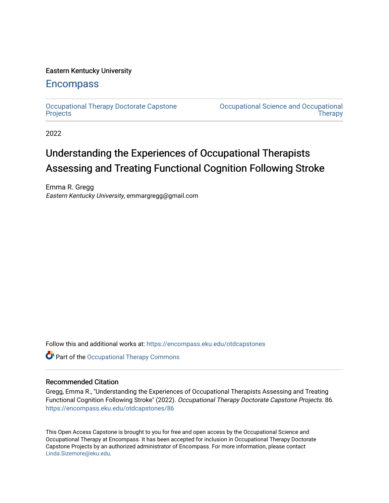# Eastern Kentucky University

# **Encompass**

[Occupational Therapy Doctorate Capstone](https://encompass.eku.edu/otdcapstones)  **[Projects](https://encompass.eku.edu/otdcapstones)** 

[Occupational Science and Occupational](https://encompass.eku.edu/ot)  **Therapy** 

2022

# Understanding the Experiences of Occupational Therapists Assessing and Treating Functional Cognition Following Stroke

Emma R. Gregg Eastern Kentucky University, emmargregg@gmail.com

Follow this and additional works at: [https://encompass.eku.edu/otdcapstones](https://encompass.eku.edu/otdcapstones?utm_source=encompass.eku.edu%2Fotdcapstones%2F86&utm_medium=PDF&utm_campaign=PDFCoverPages) 

Part of the [Occupational Therapy Commons](https://network.bepress.com/hgg/discipline/752?utm_source=encompass.eku.edu%2Fotdcapstones%2F86&utm_medium=PDF&utm_campaign=PDFCoverPages) 

# Recommended Citation

Gregg, Emma R., "Understanding the Experiences of Occupational Therapists Assessing and Treating Functional Cognition Following Stroke" (2022). Occupational Therapy Doctorate Capstone Projects. 86. [https://encompass.eku.edu/otdcapstones/86](https://encompass.eku.edu/otdcapstones/86?utm_source=encompass.eku.edu%2Fotdcapstones%2F86&utm_medium=PDF&utm_campaign=PDFCoverPages)

This Open Access Capstone is brought to you for free and open access by the Occupational Science and Occupational Therapy at Encompass. It has been accepted for inclusion in Occupational Therapy Doctorate Capstone Projects by an authorized administrator of Encompass. For more information, please contact [Linda.Sizemore@eku.edu](mailto:Linda.Sizemore@eku.edu).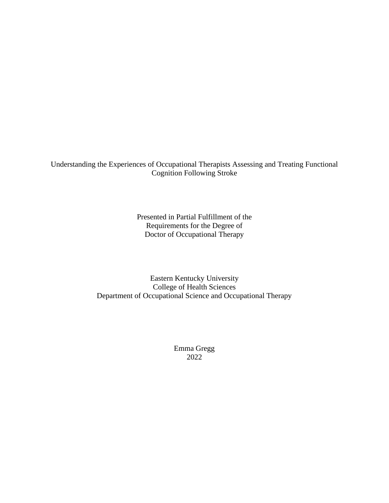Understanding the Experiences of Occupational Therapists Assessing and Treating Functional Cognition Following Stroke

> Presented in Partial Fulfillment of the Requirements for the Degree of Doctor of Occupational Therapy

Eastern Kentucky University College of Health Sciences Department of Occupational Science and Occupational Therapy

> Emma Gregg 2022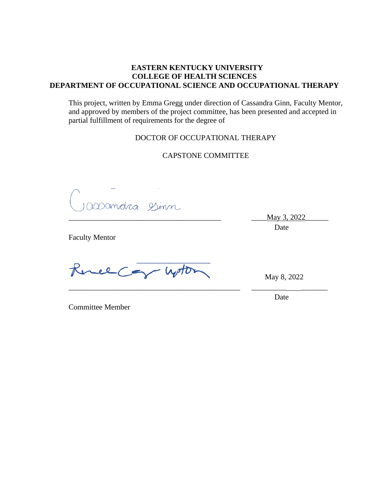# **EASTERN KENTUCKY UNIVERSITY COLLEGE OF HEALTH SCIENCES DEPARTMENT OF OCCUPATIONAL SCIENCE AND OCCUPATIONAL THERAPY**

This project, written by Emma Gregg under direction of Cassandra Ginn, Faculty Mentor, and approved by members of the project committee, has been presented and accepted in partial fulfillment of requirements for the degree of

# DOCTOR OF OCCUPATIONAL THERAPY

CAPSTONE COMMITTEE

\_\_\_\_\_\_\_\_\_\_\_\_\_\_\_\_\_\_\_\_\_\_\_\_\_\_\_\_\_\_\_\_\_\_\_\_\_\_\_\_\_\_\_\_\_ \_\_\_\_\_\_\_\_\_ \_\_\_\_\_\_\_

DODandra Dinn

\_\_\_\_\_\_\_\_\_\_\_\_\_\_\_\_\_\_\_\_\_\_\_\_\_\_\_\_\_\_\_\_\_\_\_\_\_\_\_\_ \_\_\_\_May 3, 2022\_\_\_\_\_\_

Date

Faculty Mentor

Gree Car Woton

May 8, 2022

Date

Committee Member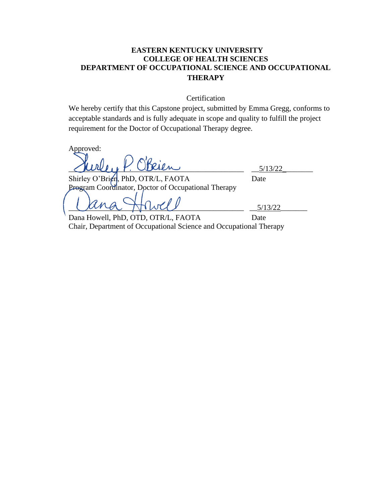# **EASTERN KENTUCKY UNIVERSITY COLLEGE OF HEALTH SCIENCES DEPARTMENT OF OCCUPATIONAL SCIENCE AND OCCUPATIONAL THERAPY**

**Certification** 

We hereby certify that this Capstone project, submitted by Emma Gregg, conforms to acceptable standards and is fully adequate in scope and quality to fulfill the project requirement for the Doctor of Occupational Therapy degree.

Approved:

 $Cuchly Y. We then$  7.  $Cially Y. We then$  5/13/22

Shirley O'Brien, PhD, OTR/L, FAOTA Date Program Coordinator, Doctor of Occupational Therapy

 $Cana$   $Mwa$   $Mwa$   $\frac{1}{2}$ 

Dana Howell, PhD, OTD, OTR/L, FAOTA Date Chair, Department of Occupational Science and Occupational Therapy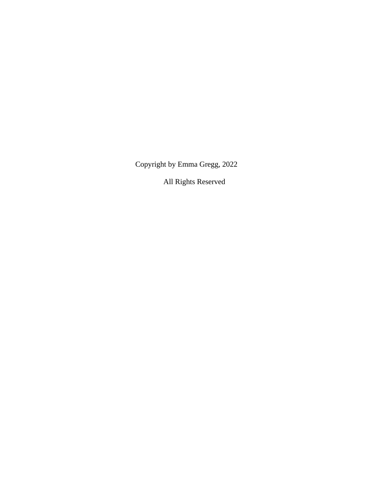Copyright by Emma Gregg, 2022

All Rights Reserved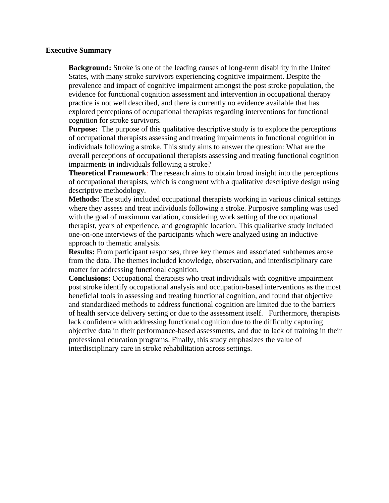# **Executive Summary**

**Background:** Stroke is one of the leading causes of long-term disability in the United States, with many stroke survivors experiencing cognitive impairment. Despite the prevalence and impact of cognitive impairment amongst the post stroke population, the evidence for functional cognition assessment and intervention in occupational therapy practice is not well described, and there is currently no evidence available that has explored perceptions of occupational therapists regarding interventions for functional cognition for stroke survivors.

**Purpose:** The purpose of this qualitative descriptive study is to explore the perceptions of occupational therapists assessing and treating impairments in functional cognition in individuals following a stroke. This study aims to answer the question: What are the overall perceptions of occupational therapists assessing and treating functional cognition impairments in individuals following a stroke?

**Theoretical Framework**: The research aims to obtain broad insight into the perceptions of occupational therapists, which is congruent with a qualitative descriptive design using descriptive methodology.

**Methods:** The study included occupational therapists working in various clinical settings where they assess and treat individuals following a stroke. Purposive sampling was used with the goal of maximum variation, considering work setting of the occupational therapist, years of experience, and geographic location. This qualitative study included one-on-one interviews of the participants which were analyzed using an inductive approach to thematic analysis.

**Results:** From participant responses, three key themes and associated subthemes arose from the data. The themes included knowledge, observation, and interdisciplinary care matter for addressing functional cognition.

**Conclusions:** Occupational therapists who treat individuals with cognitive impairment post stroke identify occupational analysis and occupation-based interventions as the most beneficial tools in assessing and treating functional cognition, and found that objective and standardized methods to address functional cognition are limited due to the barriers of health service delivery setting or due to the assessment itself. Furthermore, therapists lack confidence with addressing functional cognition due to the difficulty capturing objective data in their performance-based assessments, and due to lack of training in their professional education programs. Finally, this study emphasizes the value of interdisciplinary care in stroke rehabilitation across settings.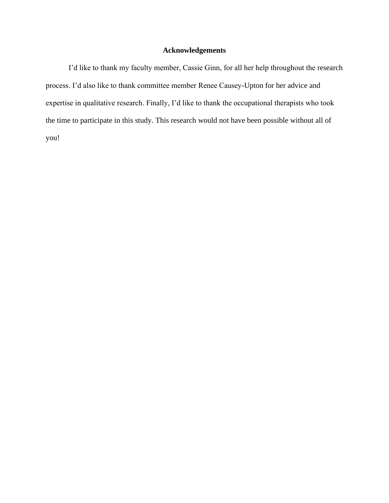# **Acknowledgements**

I'd like to thank my faculty member, Cassie Ginn, for all her help throughout the research process. I'd also like to thank committee member Renee Causey-Upton for her advice and expertise in qualitative research. Finally, I'd like to thank the occupational therapists who took the time to participate in this study. This research would not have been possible without all of you!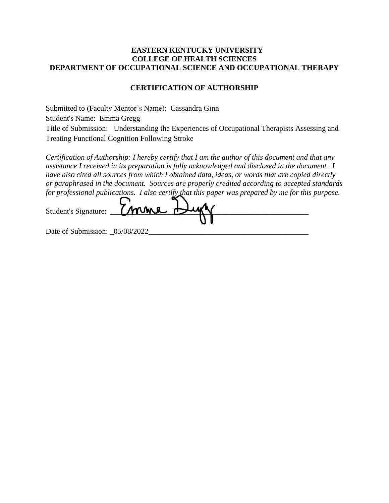# **EASTERN KENTUCKY UNIVERSITY COLLEGE OF HEALTH SCIENCES DEPARTMENT OF OCCUPATIONAL SCIENCE AND OCCUPATIONAL THERAPY**

# **CERTIFICATION OF AUTHORSHIP**

Submitted to (Faculty Mentor's Name): Cassandra Ginn Student's Name: Emma Gregg Title of Submission: Understanding the Experiences of Occupational Therapists Assessing and Treating Functional Cognition Following Stroke

*Certification of Authorship: I hereby certify that I am the author of this document and that any assistance I received in its preparation is fully acknowledged and disclosed in the document. I have also cited all sources from which I obtained data, ideas, or words that are copied directly or paraphrased in the document. Sources are properly credited according to accepted standards for professional publications. I also certify that this paper was prepared by me for this purpose.*

| Student's Signature: 7 mone Lugh |  |
|----------------------------------|--|
|                                  |  |

Date of Submission:  $05/08/2022$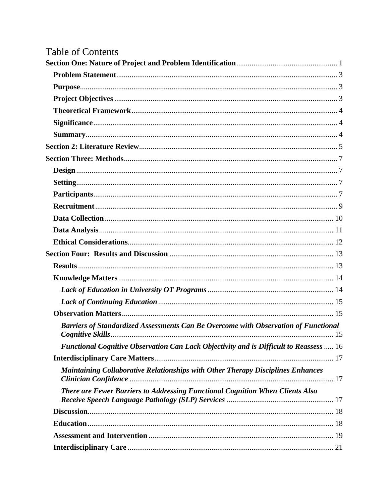# Table of Contents

| Barriers of Standardized Assessments Can Be Overcome with Observation of Functional    |  |
|----------------------------------------------------------------------------------------|--|
| Functional Cognitive Observation Can Lack Objectivity and is Difficult to Reassess  16 |  |
|                                                                                        |  |
| Maintaining Collaborative Relationships with Other Therapy Disciplines Enhances        |  |
| There are Fewer Barriers to Addressing Functional Cognition When Clients Also          |  |
|                                                                                        |  |
|                                                                                        |  |
|                                                                                        |  |
|                                                                                        |  |
|                                                                                        |  |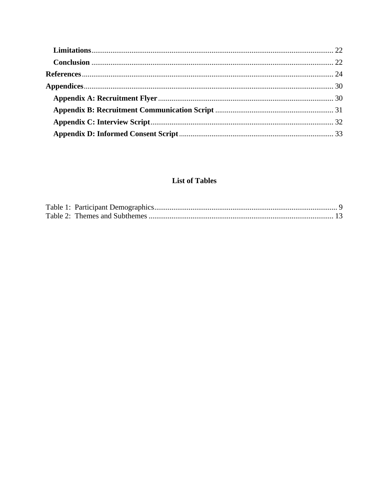# **List of Tables**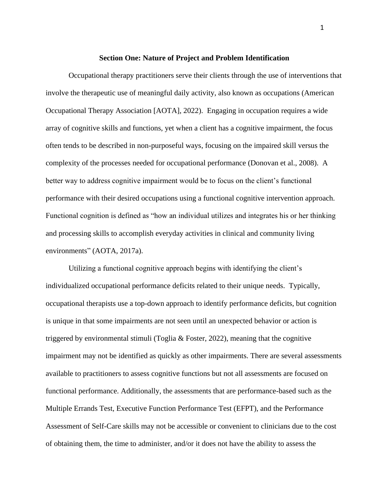#### **Section One: Nature of Project and Problem Identification**

<span id="page-10-0"></span>Occupational therapy practitioners serve their clients through the use of interventions that involve the therapeutic use of meaningful daily activity, also known as occupations (American Occupational Therapy Association [AOTA], 2022). Engaging in occupation requires a wide array of cognitive skills and functions, yet when a client has a cognitive impairment, the focus often tends to be described in non-purposeful ways, focusing on the impaired skill versus the complexity of the processes needed for occupational performance (Donovan et al., 2008). A better way to address cognitive impairment would be to focus on the client's functional performance with their desired occupations using a functional cognitive intervention approach. Functional cognition is defined as "how an individual utilizes and integrates his or her thinking and processing skills to accomplish everyday activities in clinical and community living environments" (AOTA, 2017a).

Utilizing a functional cognitive approach begins with identifying the client's individualized occupational performance deficits related to their unique needs. Typically, occupational therapists use a top-down approach to identify performance deficits, but cognition is unique in that some impairments are not seen until an unexpected behavior or action is triggered by environmental stimuli (Toglia & Foster, 2022), meaning that the cognitive impairment may not be identified as quickly as other impairments. There are several assessments available to practitioners to assess cognitive functions but not all assessments are focused on functional performance. Additionally, the assessments that are performance-based such as the Multiple Errands Test, Executive Function Performance Test (EFPT), and the Performance Assessment of Self-Care skills may not be accessible or convenient to clinicians due to the cost of obtaining them, the time to administer, and/or it does not have the ability to assess the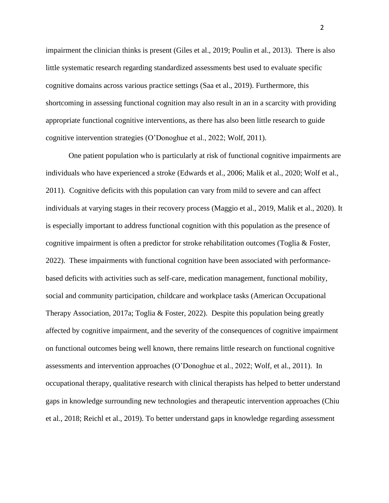impairment the clinician thinks is present (Giles et al., 2019; Poulin et al., 2013). There is also little systematic research regarding standardized assessments best used to evaluate specific cognitive domains across various practice settings (Saa et al., 2019). Furthermore, this shortcoming in assessing functional cognition may also result in an in a scarcity with providing appropriate functional cognitive interventions, as there has also been little research to guide cognitive intervention strategies (O'Donoghue et al., 2022; Wolf, 2011).

One patient population who is particularly at risk of functional cognitive impairments are individuals who have experienced a stroke (Edwards et al., 2006; Malik et al., 2020; Wolf et al., 2011). Cognitive deficits with this population can vary from mild to severe and can affect individuals at varying stages in their recovery process (Maggio et al., 2019, Malik et al., 2020). It is especially important to address functional cognition with this population as the presence of cognitive impairment is often a predictor for stroke rehabilitation outcomes (Toglia & Foster, 2022). These impairments with functional cognition have been associated with performancebased deficits with activities such as self-care, medication management, functional mobility, social and community participation, childcare and workplace tasks (American Occupational Therapy Association, 2017a; Toglia & Foster, 2022). Despite this population being greatly affected by cognitive impairment, and the severity of the consequences of cognitive impairment on functional outcomes being well known, there remains little research on functional cognitive assessments and intervention approaches (O'Donoghue et al., 2022; Wolf, et al., 2011). In occupational therapy, qualitative research with clinical therapists has helped to better understand gaps in knowledge surrounding new technologies and therapeutic intervention approaches (Chiu et al., 2018; Reichl et al., 2019). To better understand gaps in knowledge regarding assessment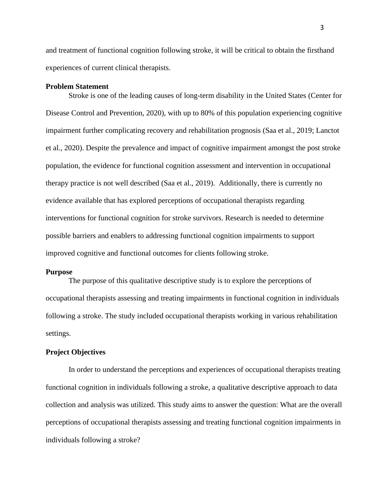and treatment of functional cognition following stroke, it will be critical to obtain the firsthand experiences of current clinical therapists.

#### <span id="page-12-0"></span>**Problem Statement**

Stroke is one of the leading causes of long-term disability in the United States (Center for Disease Control and Prevention, 2020), with up to 80% of this population experiencing cognitive impairment further complicating recovery and rehabilitation prognosis (Saa et al., 2019; Lanctot et al., 2020). Despite the prevalence and impact of cognitive impairment amongst the post stroke population, the evidence for functional cognition assessment and intervention in occupational therapy practice is not well described (Saa et al., 2019). Additionally, there is currently no evidence available that has explored perceptions of occupational therapists regarding interventions for functional cognition for stroke survivors. Research is needed to determine possible barriers and enablers to addressing functional cognition impairments to support improved cognitive and functional outcomes for clients following stroke.

#### <span id="page-12-1"></span>**Purpose**

The purpose of this qualitative descriptive study is to explore the perceptions of occupational therapists assessing and treating impairments in functional cognition in individuals following a stroke. The study included occupational therapists working in various rehabilitation settings.

# <span id="page-12-2"></span>**Project Objectives**

In order to understand the perceptions and experiences of occupational therapists treating functional cognition in individuals following a stroke, a qualitative descriptive approach to data collection and analysis was utilized. This study aims to answer the question: What are the overall perceptions of occupational therapists assessing and treating functional cognition impairments in individuals following a stroke?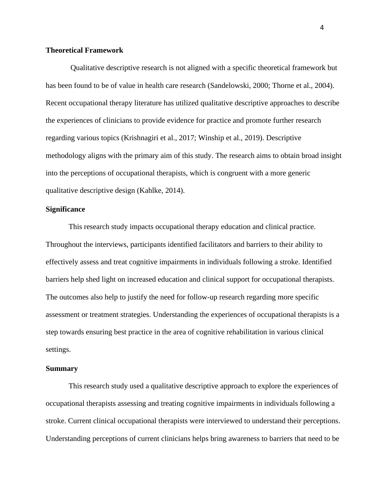# <span id="page-13-0"></span>**Theoretical Framework**

Qualitative descriptive research is not aligned with a specific theoretical framework but has been found to be of value in health care research (Sandelowski, 2000; Thorne et al., 2004). Recent occupational therapy literature has utilized qualitative descriptive approaches to describe the experiences of clinicians to provide evidence for practice and promote further research regarding various topics (Krishnagiri et al., 2017; Winship et al., 2019). Descriptive methodology aligns with the primary aim of this study. The research aims to obtain broad insight into the perceptions of occupational therapists, which is congruent with a more generic qualitative descriptive design (Kahlke, 2014).

# <span id="page-13-1"></span>**Significance**

This research study impacts occupational therapy education and clinical practice. Throughout the interviews, participants identified facilitators and barriers to their ability to effectively assess and treat cognitive impairments in individuals following a stroke. Identified barriers help shed light on increased education and clinical support for occupational therapists. The outcomes also help to justify the need for follow-up research regarding more specific assessment or treatment strategies. Understanding the experiences of occupational therapists is a step towards ensuring best practice in the area of cognitive rehabilitation in various clinical settings.

#### <span id="page-13-2"></span>**Summary**

This research study used a qualitative descriptive approach to explore the experiences of occupational therapists assessing and treating cognitive impairments in individuals following a stroke. Current clinical occupational therapists were interviewed to understand their perceptions. Understanding perceptions of current clinicians helps bring awareness to barriers that need to be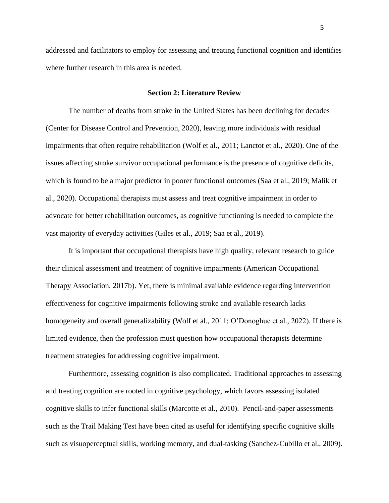addressed and facilitators to employ for assessing and treating functional cognition and identifies where further research in this area is needed.

#### **Section 2: Literature Review**

<span id="page-14-0"></span>The number of deaths from stroke in the United States has been declining for decades (Center for Disease Control and Prevention, 2020), leaving more individuals with residual impairments that often require rehabilitation (Wolf et al., 2011; Lanctot et al., 2020). One of the issues affecting stroke survivor occupational performance is the presence of cognitive deficits, which is found to be a major predictor in poorer functional outcomes (Saa et al., 2019; Malik et al., 2020). Occupational therapists must assess and treat cognitive impairment in order to advocate for better rehabilitation outcomes, as cognitive functioning is needed to complete the vast majority of everyday activities (Giles et al., 2019; Saa et al., 2019).

It is important that occupational therapists have high quality, relevant research to guide their clinical assessment and treatment of cognitive impairments (American Occupational Therapy Association, 2017b). Yet, there is minimal available evidence regarding intervention effectiveness for cognitive impairments following stroke and available research lacks homogeneity and overall generalizability (Wolf et al., 2011; O'Donoghue et al., 2022). If there is limited evidence, then the profession must question how occupational therapists determine treatment strategies for addressing cognitive impairment.

Furthermore, assessing cognition is also complicated. Traditional approaches to assessing and treating cognition are rooted in cognitive psychology, which favors assessing isolated cognitive skills to infer functional skills (Marcotte et al., 2010). Pencil-and-paper assessments such as the Trail Making Test have been cited as useful for identifying specific cognitive skills such as visuoperceptual skills, working memory, and dual-tasking (Sanchez-Cubillo et al., 2009).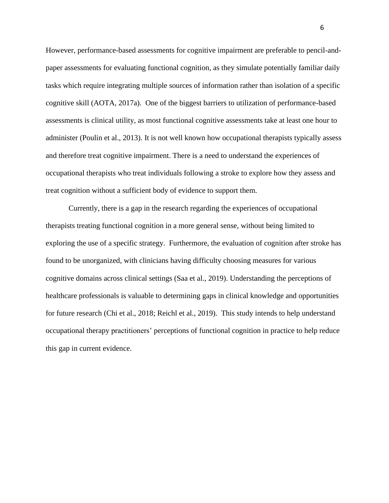However, performance-based assessments for cognitive impairment are preferable to pencil-andpaper assessments for evaluating functional cognition, as they simulate potentially familiar daily tasks which require integrating multiple sources of information rather than isolation of a specific cognitive skill (AOTA, 2017a). One of the biggest barriers to utilization of performance-based assessments is clinical utility, as most functional cognitive assessments take at least one hour to administer (Poulin et al., 2013). It is not well known how occupational therapists typically assess and therefore treat cognitive impairment. There is a need to understand the experiences of occupational therapists who treat individuals following a stroke to explore how they assess and treat cognition without a sufficient body of evidence to support them.

Currently, there is a gap in the research regarding the experiences of occupational therapists treating functional cognition in a more general sense, without being limited to exploring the use of a specific strategy. Furthermore, the evaluation of cognition after stroke has found to be unorganized, with clinicians having difficulty choosing measures for various cognitive domains across clinical settings (Saa et al., 2019). Understanding the perceptions of healthcare professionals is valuable to determining gaps in clinical knowledge and opportunities for future research (Chi et al., 2018; Reichl et al., 2019). This study intends to help understand occupational therapy practitioners' perceptions of functional cognition in practice to help reduce this gap in current evidence.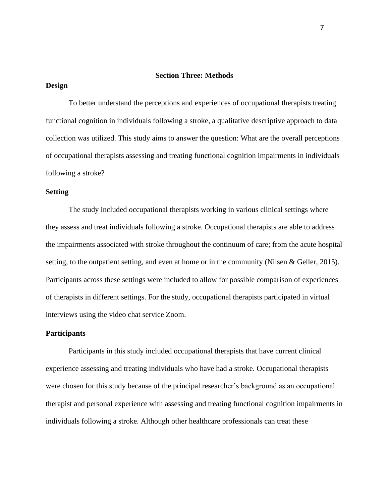#### **Section Three: Methods**

## <span id="page-16-1"></span><span id="page-16-0"></span>**Design**

To better understand the perceptions and experiences of occupational therapists treating functional cognition in individuals following a stroke, a qualitative descriptive approach to data collection was utilized. This study aims to answer the question: What are the overall perceptions of occupational therapists assessing and treating functional cognition impairments in individuals following a stroke?

# <span id="page-16-2"></span>**Setting**

The study included occupational therapists working in various clinical settings where they assess and treat individuals following a stroke. Occupational therapists are able to address the impairments associated with stroke throughout the continuum of care; from the acute hospital setting, to the outpatient setting, and even at home or in the community (Nilsen & Geller, 2015). Participants across these settings were included to allow for possible comparison of experiences of therapists in different settings. For the study, occupational therapists participated in virtual interviews using the video chat service Zoom.

# <span id="page-16-3"></span>**Participants**

Participants in this study included occupational therapists that have current clinical experience assessing and treating individuals who have had a stroke. Occupational therapists were chosen for this study because of the principal researcher's background as an occupational therapist and personal experience with assessing and treating functional cognition impairments in individuals following a stroke. Although other healthcare professionals can treat these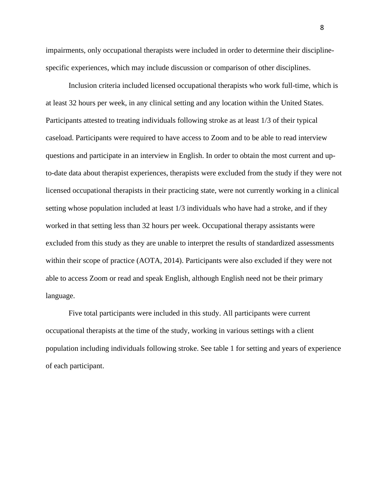impairments, only occupational therapists were included in order to determine their disciplinespecific experiences, which may include discussion or comparison of other disciplines.

Inclusion criteria included licensed occupational therapists who work full-time, which is at least 32 hours per week, in any clinical setting and any location within the United States. Participants attested to treating individuals following stroke as at least 1/3 of their typical caseload. Participants were required to have access to Zoom and to be able to read interview questions and participate in an interview in English. In order to obtain the most current and upto-date data about therapist experiences, therapists were excluded from the study if they were not licensed occupational therapists in their practicing state, were not currently working in a clinical setting whose population included at least 1/3 individuals who have had a stroke, and if they worked in that setting less than 32 hours per week. Occupational therapy assistants were excluded from this study as they are unable to interpret the results of standardized assessments within their scope of practice (AOTA, 2014). Participants were also excluded if they were not able to access Zoom or read and speak English, although English need not be their primary language.

Five total participants were included in this study. All participants were current occupational therapists at the time of the study, working in various settings with a client population including individuals following stroke. See table 1 for setting and years of experience of each participant.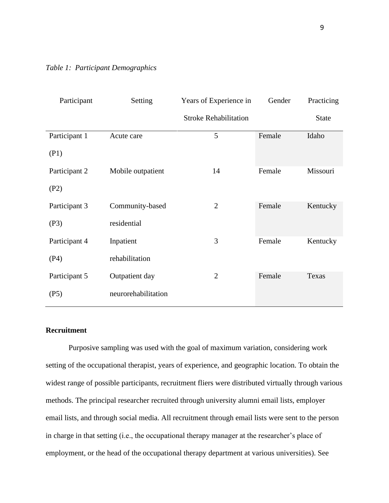<span id="page-18-1"></span>

|  | Table 1: Participant Demographics |  |  |
|--|-----------------------------------|--|--|
|--|-----------------------------------|--|--|

| Participant   | Setting             | Years of Experience in       | Gender | Practicing   |
|---------------|---------------------|------------------------------|--------|--------------|
|               |                     | <b>Stroke Rehabilitation</b> |        | <b>State</b> |
| Participant 1 | Acute care          | 5                            | Female | Idaho        |
| (P1)          |                     |                              |        |              |
| Participant 2 | Mobile outpatient   | 14                           | Female | Missouri     |
| (P2)          |                     |                              |        |              |
| Participant 3 | Community-based     | $\overline{2}$               | Female | Kentucky     |
| (P3)          | residential         |                              |        |              |
| Participant 4 | Inpatient           | 3                            | Female | Kentucky     |
| (P4)          | rehabilitation      |                              |        |              |
| Participant 5 | Outpatient day      | $\overline{2}$               | Female | Texas        |
| (P5)          | neurorehabilitation |                              |        |              |

# <span id="page-18-0"></span>**Recruitment**

Purposive sampling was used with the goal of maximum variation, considering work setting of the occupational therapist, years of experience, and geographic location. To obtain the widest range of possible participants, recruitment fliers were distributed virtually through various methods. The principal researcher recruited through university alumni email lists, employer email lists, and through social media. All recruitment through email lists were sent to the person in charge in that setting (i.e., the occupational therapy manager at the researcher's place of employment, or the head of the occupational therapy department at various universities). See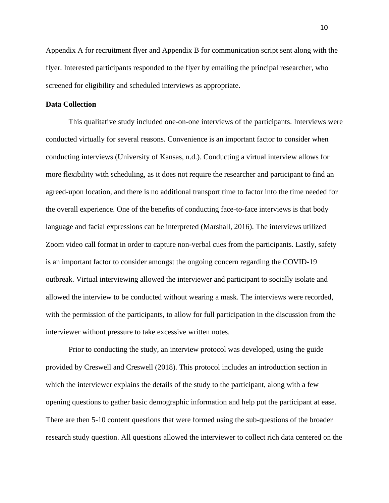Appendix A for recruitment flyer and Appendix B for communication script sent along with the flyer. Interested participants responded to the flyer by emailing the principal researcher, who screened for eligibility and scheduled interviews as appropriate.

#### <span id="page-19-0"></span>**Data Collection**

This qualitative study included one-on-one interviews of the participants. Interviews were conducted virtually for several reasons. Convenience is an important factor to consider when conducting interviews (University of Kansas, n.d.). Conducting a virtual interview allows for more flexibility with scheduling, as it does not require the researcher and participant to find an agreed-upon location, and there is no additional transport time to factor into the time needed for the overall experience. One of the benefits of conducting face-to-face interviews is that body language and facial expressions can be interpreted (Marshall, 2016). The interviews utilized Zoom video call format in order to capture non-verbal cues from the participants. Lastly, safety is an important factor to consider amongst the ongoing concern regarding the COVID-19 outbreak. Virtual interviewing allowed the interviewer and participant to socially isolate and allowed the interview to be conducted without wearing a mask. The interviews were recorded, with the permission of the participants, to allow for full participation in the discussion from the interviewer without pressure to take excessive written notes.

Prior to conducting the study, an interview protocol was developed, using the guide provided by Creswell and Creswell (2018). This protocol includes an introduction section in which the interviewer explains the details of the study to the participant, along with a few opening questions to gather basic demographic information and help put the participant at ease. There are then 5-10 content questions that were formed using the sub-questions of the broader research study question. All questions allowed the interviewer to collect rich data centered on the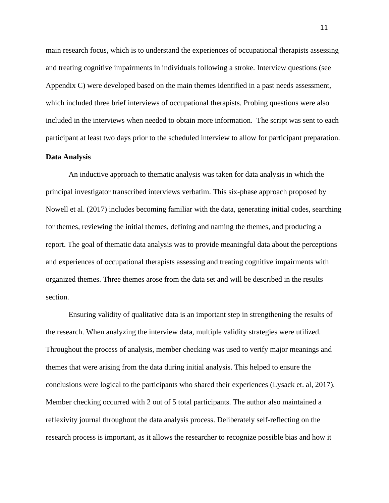main research focus, which is to understand the experiences of occupational therapists assessing and treating cognitive impairments in individuals following a stroke. Interview questions (see Appendix C) were developed based on the main themes identified in a past needs assessment, which included three brief interviews of occupational therapists. Probing questions were also included in the interviews when needed to obtain more information. The script was sent to each participant at least two days prior to the scheduled interview to allow for participant preparation.

#### <span id="page-20-0"></span>**Data Analysis**

An inductive approach to thematic analysis was taken for data analysis in which the principal investigator transcribed interviews verbatim. This six-phase approach proposed by Nowell et al. (2017) includes becoming familiar with the data, generating initial codes, searching for themes, reviewing the initial themes, defining and naming the themes, and producing a report. The goal of thematic data analysis was to provide meaningful data about the perceptions and experiences of occupational therapists assessing and treating cognitive impairments with organized themes. Three themes arose from the data set and will be described in the results section.

Ensuring validity of qualitative data is an important step in strengthening the results of the research. When analyzing the interview data, multiple validity strategies were utilized. Throughout the process of analysis, member checking was used to verify major meanings and themes that were arising from the data during initial analysis. This helped to ensure the conclusions were logical to the participants who shared their experiences (Lysack et. al, 2017). Member checking occurred with 2 out of 5 total participants. The author also maintained a reflexivity journal throughout the data analysis process. Deliberately self-reflecting on the research process is important, as it allows the researcher to recognize possible bias and how it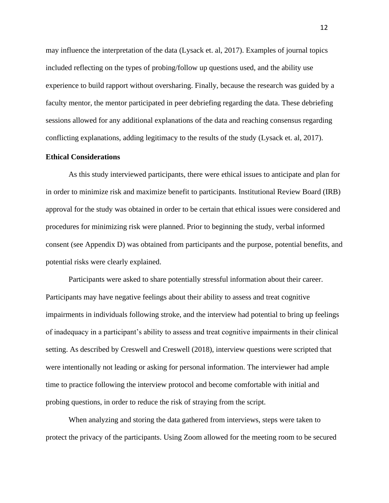may influence the interpretation of the data (Lysack et. al, 2017). Examples of journal topics included reflecting on the types of probing/follow up questions used, and the ability use experience to build rapport without oversharing. Finally, because the research was guided by a faculty mentor, the mentor participated in peer debriefing regarding the data. These debriefing sessions allowed for any additional explanations of the data and reaching consensus regarding conflicting explanations, adding legitimacy to the results of the study (Lysack et. al, 2017).

#### <span id="page-21-0"></span>**Ethical Considerations**

As this study interviewed participants, there were ethical issues to anticipate and plan for in order to minimize risk and maximize benefit to participants. Institutional Review Board (IRB) approval for the study was obtained in order to be certain that ethical issues were considered and procedures for minimizing risk were planned. Prior to beginning the study, verbal informed consent (see Appendix D) was obtained from participants and the purpose, potential benefits, and potential risks were clearly explained.

Participants were asked to share potentially stressful information about their career. Participants may have negative feelings about their ability to assess and treat cognitive impairments in individuals following stroke, and the interview had potential to bring up feelings of inadequacy in a participant's ability to assess and treat cognitive impairments in their clinical setting. As described by Creswell and Creswell (2018), interview questions were scripted that were intentionally not leading or asking for personal information. The interviewer had ample time to practice following the interview protocol and become comfortable with initial and probing questions, in order to reduce the risk of straying from the script.

When analyzing and storing the data gathered from interviews, steps were taken to protect the privacy of the participants. Using Zoom allowed for the meeting room to be secured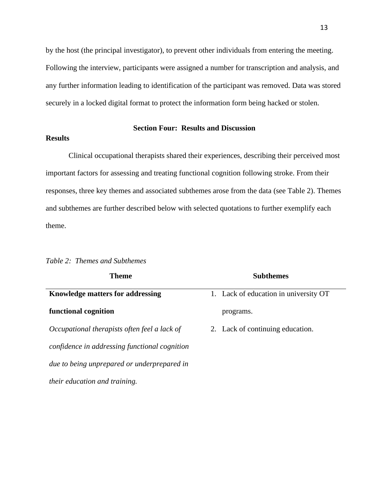by the host (the principal investigator), to prevent other individuals from entering the meeting. Following the interview, participants were assigned a number for transcription and analysis, and any further information leading to identification of the participant was removed. Data was stored securely in a locked digital format to protect the information form being hacked or stolen.

# **Section Four: Results and Discussion**

# <span id="page-22-1"></span><span id="page-22-0"></span>**Results**

Clinical occupational therapists shared their experiences, describing their perceived most important factors for assessing and treating functional cognition following stroke. From their responses, three key themes and associated subthemes arose from the data (see Table 2). Themes and subthemes are further described below with selected quotations to further exemplify each theme.

| Theme                                         | <b>Subthemes</b>                      |
|-----------------------------------------------|---------------------------------------|
| <b>Knowledge matters for addressing</b>       | 1. Lack of education in university OT |
| functional cognition                          | programs.                             |
| Occupational therapists often feel a lack of  | 2. Lack of continuing education.      |
| confidence in addressing functional cognition |                                       |
| due to being unprepared or underprepared in   |                                       |
| <i>their education and training.</i>          |                                       |

#### <span id="page-22-2"></span>*Table 2: Themes and Subthemes*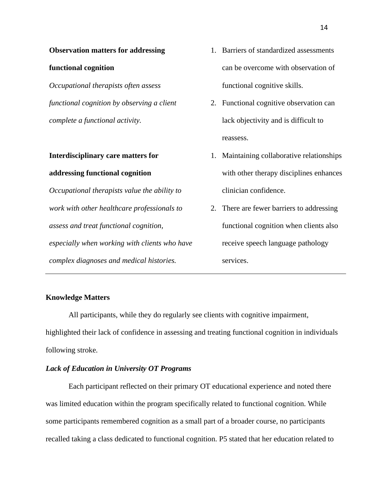# **Observation matters for addressing**

#### **functional cognition**

*Occupational therapists often assess functional cognition by observing a client complete a functional activity.*

# **Interdisciplinary care matters for addressing functional cognition**

*Occupational therapists value the ability to work with other healthcare professionals to assess and treat functional cognition, especially when working with clients who have complex diagnoses and medical histories.* 

- 1. Barriers of standardized assessments can be overcome with observation of functional cognitive skills.
- 2. Functional cognitive observation can lack objectivity and is difficult to reassess.
- 1. Maintaining collaborative relationships with other therapy disciplines enhances clinician confidence.
- 2. There are fewer barriers to addressing functional cognition when clients also receive speech language pathology services.

# <span id="page-23-0"></span>**Knowledge Matters**

All participants, while they do regularly see clients with cognitive impairment, highlighted their lack of confidence in assessing and treating functional cognition in individuals following stroke.

# <span id="page-23-1"></span>*Lack of Education in University OT Programs*

Each participant reflected on their primary OT educational experience and noted there was limited education within the program specifically related to functional cognition. While some participants remembered cognition as a small part of a broader course, no participants recalled taking a class dedicated to functional cognition. P5 stated that her education related to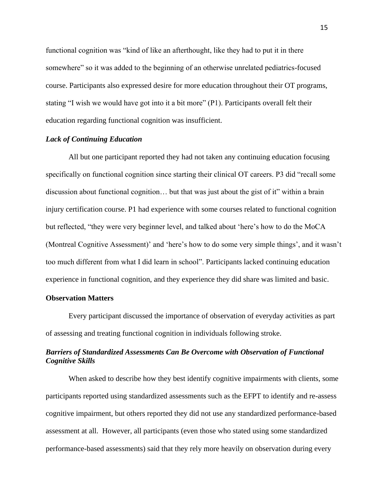functional cognition was "kind of like an afterthought, like they had to put it in there somewhere" so it was added to the beginning of an otherwise unrelated pediatrics-focused course. Participants also expressed desire for more education throughout their OT programs, stating "I wish we would have got into it a bit more" (P1). Participants overall felt their education regarding functional cognition was insufficient.

# <span id="page-24-0"></span>*Lack of Continuing Education*

All but one participant reported they had not taken any continuing education focusing specifically on functional cognition since starting their clinical OT careers. P3 did "recall some discussion about functional cognition… but that was just about the gist of it" within a brain injury certification course. P1 had experience with some courses related to functional cognition but reflected, "they were very beginner level, and talked about 'here's how to do the MoCA (Montreal Cognitive Assessment)' and 'here's how to do some very simple things', and it wasn't too much different from what I did learn in school". Participants lacked continuing education experience in functional cognition, and they experience they did share was limited and basic.

# <span id="page-24-1"></span>**Observation Matters**

Every participant discussed the importance of observation of everyday activities as part of assessing and treating functional cognition in individuals following stroke.

# <span id="page-24-2"></span>*Barriers of Standardized Assessments Can Be Overcome with Observation of Functional Cognitive Skills*

When asked to describe how they best identify cognitive impairments with clients, some participants reported using standardized assessments such as the EFPT to identify and re-assess cognitive impairment, but others reported they did not use any standardized performance-based assessment at all. However, all participants (even those who stated using some standardized performance-based assessments) said that they rely more heavily on observation during every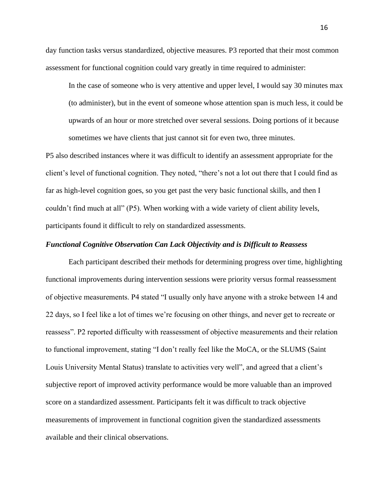day function tasks versus standardized, objective measures. P3 reported that their most common assessment for functional cognition could vary greatly in time required to administer:

In the case of someone who is very attentive and upper level, I would say 30 minutes max (to administer), but in the event of someone whose attention span is much less, it could be upwards of an hour or more stretched over several sessions. Doing portions of it because sometimes we have clients that just cannot sit for even two, three minutes.

P5 also described instances where it was difficult to identify an assessment appropriate for the client's level of functional cognition. They noted, "there's not a lot out there that I could find as far as high-level cognition goes, so you get past the very basic functional skills, and then I couldn't find much at all" (P5). When working with a wide variety of client ability levels, participants found it difficult to rely on standardized assessments.

# <span id="page-25-0"></span>*Functional Cognitive Observation Can Lack Objectivity and is Difficult to Reassess*

Each participant described their methods for determining progress over time, highlighting functional improvements during intervention sessions were priority versus formal reassessment of objective measurements. P4 stated "I usually only have anyone with a stroke between 14 and 22 days, so I feel like a lot of times we're focusing on other things, and never get to recreate or reassess". P2 reported difficulty with reassessment of objective measurements and their relation to functional improvement, stating "I don't really feel like the MoCA, or the SLUMS (Saint Louis University Mental Status) translate to activities very well", and agreed that a client's subjective report of improved activity performance would be more valuable than an improved score on a standardized assessment. Participants felt it was difficult to track objective measurements of improvement in functional cognition given the standardized assessments available and their clinical observations.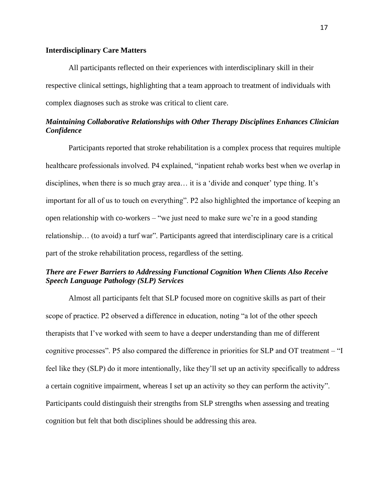# <span id="page-26-0"></span>**Interdisciplinary Care Matters**

All participants reflected on their experiences with interdisciplinary skill in their respective clinical settings, highlighting that a team approach to treatment of individuals with complex diagnoses such as stroke was critical to client care.

# <span id="page-26-1"></span>*Maintaining Collaborative Relationships with Other Therapy Disciplines Enhances Clinician Confidence*

Participants reported that stroke rehabilitation is a complex process that requires multiple healthcare professionals involved. P4 explained, "inpatient rehab works best when we overlap in disciplines, when there is so much gray area… it is a 'divide and conquer' type thing. It's important for all of us to touch on everything". P2 also highlighted the importance of keeping an open relationship with co-workers – "we just need to make sure we're in a good standing relationship… (to avoid) a turf war". Participants agreed that interdisciplinary care is a critical part of the stroke rehabilitation process, regardless of the setting.

# <span id="page-26-2"></span>*There are Fewer Barriers to Addressing Functional Cognition When Clients Also Receive Speech Language Pathology (SLP) Services*

Almost all participants felt that SLP focused more on cognitive skills as part of their scope of practice. P2 observed a difference in education, noting "a lot of the other speech therapists that I've worked with seem to have a deeper understanding than me of different cognitive processes". P5 also compared the difference in priorities for SLP and OT treatment – "I feel like they (SLP) do it more intentionally, like they'll set up an activity specifically to address a certain cognitive impairment, whereas I set up an activity so they can perform the activity". Participants could distinguish their strengths from SLP strengths when assessing and treating cognition but felt that both disciplines should be addressing this area.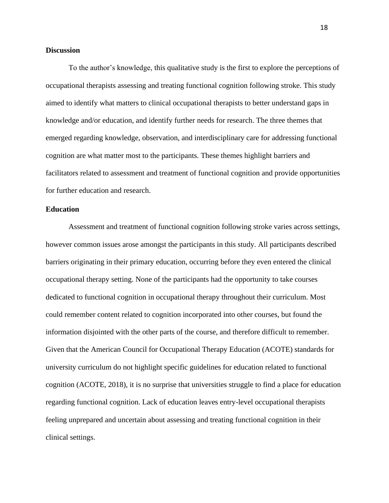# <span id="page-27-0"></span>**Discussion**

To the author's knowledge, this qualitative study is the first to explore the perceptions of occupational therapists assessing and treating functional cognition following stroke. This study aimed to identify what matters to clinical occupational therapists to better understand gaps in knowledge and/or education, and identify further needs for research. The three themes that emerged regarding knowledge, observation, and interdisciplinary care for addressing functional cognition are what matter most to the participants. These themes highlight barriers and facilitators related to assessment and treatment of functional cognition and provide opportunities for further education and research.

# <span id="page-27-1"></span>**Education**

Assessment and treatment of functional cognition following stroke varies across settings, however common issues arose amongst the participants in this study. All participants described barriers originating in their primary education, occurring before they even entered the clinical occupational therapy setting. None of the participants had the opportunity to take courses dedicated to functional cognition in occupational therapy throughout their curriculum. Most could remember content related to cognition incorporated into other courses, but found the information disjointed with the other parts of the course, and therefore difficult to remember. Given that the American Council for Occupational Therapy Education (ACOTE) standards for university curriculum do not highlight specific guidelines for education related to functional cognition (ACOTE, 2018), it is no surprise that universities struggle to find a place for education regarding functional cognition. Lack of education leaves entry-level occupational therapists feeling unprepared and uncertain about assessing and treating functional cognition in their clinical settings.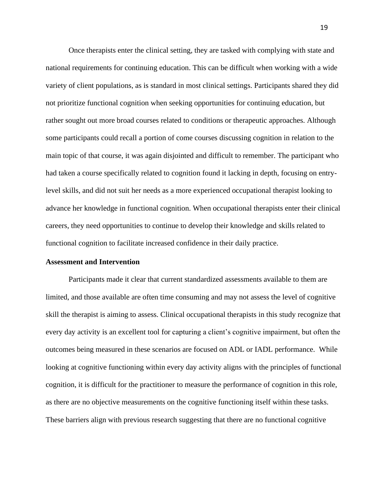Once therapists enter the clinical setting, they are tasked with complying with state and national requirements for continuing education. This can be difficult when working with a wide variety of client populations, as is standard in most clinical settings. Participants shared they did not prioritize functional cognition when seeking opportunities for continuing education, but rather sought out more broad courses related to conditions or therapeutic approaches. Although some participants could recall a portion of come courses discussing cognition in relation to the main topic of that course, it was again disjointed and difficult to remember. The participant who had taken a course specifically related to cognition found it lacking in depth, focusing on entrylevel skills, and did not suit her needs as a more experienced occupational therapist looking to advance her knowledge in functional cognition. When occupational therapists enter their clinical careers, they need opportunities to continue to develop their knowledge and skills related to functional cognition to facilitate increased confidence in their daily practice.

# <span id="page-28-0"></span>**Assessment and Intervention**

Participants made it clear that current standardized assessments available to them are limited, and those available are often time consuming and may not assess the level of cognitive skill the therapist is aiming to assess. Clinical occupational therapists in this study recognize that every day activity is an excellent tool for capturing a client's cognitive impairment, but often the outcomes being measured in these scenarios are focused on ADL or IADL performance. While looking at cognitive functioning within every day activity aligns with the principles of functional cognition, it is difficult for the practitioner to measure the performance of cognition in this role, as there are no objective measurements on the cognitive functioning itself within these tasks. These barriers align with previous research suggesting that there are no functional cognitive

19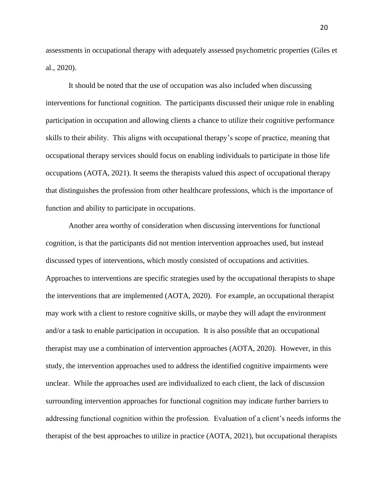assessments in occupational therapy with adequately assessed psychometric properties (Giles et al., 2020).

It should be noted that the use of occupation was also included when discussing interventions for functional cognition. The participants discussed their unique role in enabling participation in occupation and allowing clients a chance to utilize their cognitive performance skills to their ability. This aligns with occupational therapy's scope of practice, meaning that occupational therapy services should focus on enabling individuals to participate in those life occupations (AOTA, 2021). It seems the therapists valued this aspect of occupational therapy that distinguishes the profession from other healthcare professions, which is the importance of function and ability to participate in occupations.

Another area worthy of consideration when discussing interventions for functional cognition, is that the participants did not mention intervention approaches used, but instead discussed types of interventions, which mostly consisted of occupations and activities. Approaches to interventions are specific strategies used by the occupational therapists to shape the interventions that are implemented (AOTA, 2020). For example, an occupational therapist may work with a client to restore cognitive skills, or maybe they will adapt the environment and/or a task to enable participation in occupation. It is also possible that an occupational therapist may use a combination of intervention approaches (AOTA, 2020). However, in this study, the intervention approaches used to address the identified cognitive impairments were unclear. While the approaches used are individualized to each client, the lack of discussion surrounding intervention approaches for functional cognition may indicate further barriers to addressing functional cognition within the profession. Evaluation of a client's needs informs the therapist of the best approaches to utilize in practice (AOTA, 2021), but occupational therapists

20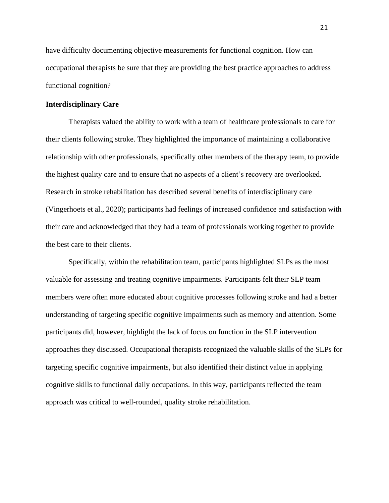have difficulty documenting objective measurements for functional cognition. How can occupational therapists be sure that they are providing the best practice approaches to address functional cognition?

## <span id="page-30-0"></span>**Interdisciplinary Care**

Therapists valued the ability to work with a team of healthcare professionals to care for their clients following stroke. They highlighted the importance of maintaining a collaborative relationship with other professionals, specifically other members of the therapy team, to provide the highest quality care and to ensure that no aspects of a client's recovery are overlooked. Research in stroke rehabilitation has described several benefits of interdisciplinary care (Vingerhoets et al., 2020); participants had feelings of increased confidence and satisfaction with their care and acknowledged that they had a team of professionals working together to provide the best care to their clients.

Specifically, within the rehabilitation team, participants highlighted SLPs as the most valuable for assessing and treating cognitive impairments. Participants felt their SLP team members were often more educated about cognitive processes following stroke and had a better understanding of targeting specific cognitive impairments such as memory and attention. Some participants did, however, highlight the lack of focus on function in the SLP intervention approaches they discussed. Occupational therapists recognized the valuable skills of the SLPs for targeting specific cognitive impairments, but also identified their distinct value in applying cognitive skills to functional daily occupations. In this way, participants reflected the team approach was critical to well-rounded, quality stroke rehabilitation.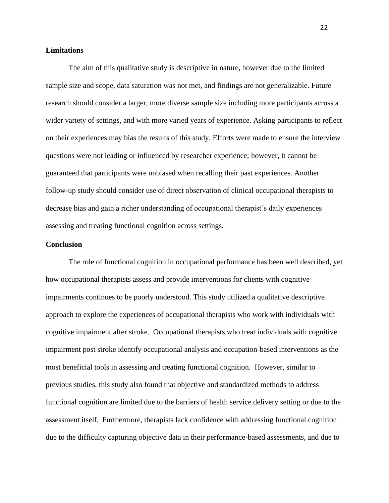# <span id="page-31-0"></span>**Limitations**

The aim of this qualitative study is descriptive in nature, however due to the limited sample size and scope, data saturation was not met, and findings are not generalizable. Future research should consider a larger, more diverse sample size including more participants across a wider variety of settings, and with more varied years of experience. Asking participants to reflect on their experiences may bias the results of this study. Efforts were made to ensure the interview questions were not leading or influenced by researcher experience; however, it cannot be guaranteed that participants were unbiased when recalling their past experiences. Another follow-up study should consider use of direct observation of clinical occupational therapists to decrease bias and gain a richer understanding of occupational therapist's daily experiences assessing and treating functional cognition across settings.

# <span id="page-31-1"></span>**Conclusion**

The role of functional cognition in occupational performance has been well described, yet how occupational therapists assess and provide interventions for clients with cognitive impairments continues to be poorly understood. This study utilized a qualitative descriptive approach to explore the experiences of occupational therapists who work with individuals with cognitive impairment after stroke. Occupational therapists who treat individuals with cognitive impairment post stroke identify occupational analysis and occupation-based interventions as the most beneficial tools in assessing and treating functional cognition. However, similar to previous studies, this study also found that objective and standardized methods to address functional cognition are limited due to the barriers of health service delivery setting or due to the assessment itself. Furthermore, therapists lack confidence with addressing functional cognition due to the difficulty capturing objective data in their performance-based assessments, and due to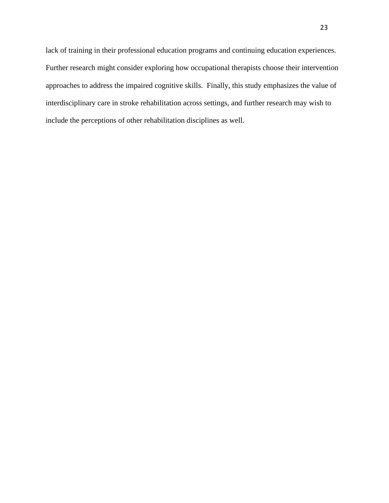lack of training in their professional education programs and continuing education experiences. Further research might consider exploring how occupational therapists choose their intervention approaches to address the impaired cognitive skills. Finally, this study emphasizes the value of interdisciplinary care in stroke rehabilitation across settings, and further research may wish to include the perceptions of other rehabilitation disciplines as well.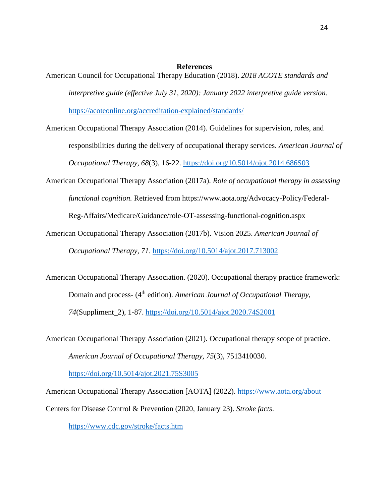#### **References**

- <span id="page-33-0"></span>American Council for Occupational Therapy Education (2018). *2018 ACOTE standards and interpretive guide (effective July 31, 2020): January 2022 interpretive guide version.* <https://acoteonline.org/accreditation-explained/standards/>
- American Occupational Therapy Association (2014). Guidelines for supervision, roles, and responsibilities during the delivery of occupational therapy services. *American Journal of Occupational Therapy, 68*(3), 16-22.<https://doi.org/10.5014/ojot.2014.686S03>
- American Occupational Therapy Association (2017a). *Role of occupational therapy in assessing functional cognition.* Retrieved from https://www.aota.org/Advocacy-Policy/Federal-

Reg-Affairs/Medicare/Guidance/role-OT-assessing-functional-cognition.aspx

- American Occupational Therapy Association (2017b). Vision 2025. *American Journal of Occupational Therapy, 71*.<https://doi.org/10.5014/ajot.2017.713002>
- American Occupational Therapy Association. (2020). Occupational therapy practice framework: Domain and process- (4<sup>th</sup> edition). *American Journal of Occupational Therapy*, *74*(Suppliment\_2), 1-87. [https://doi.org/10.5014/ajot.2020.74S2001](ttps://doi.org/10.5014/ajot.2020.74S2001)
- American Occupational Therapy Association (2021). Occupational therapy scope of practice. *American Journal of Occupational Therapy, 75*(3), 7513410030.

<https://doi.org/10.5014/ajot.2021.75S3005>

American Occupational Therapy Association [AOTA] (2022).<https://www.aota.org/about> Centers for Disease Control & Prevention (2020, January 23). *Stroke facts*.

<https://www.cdc.gov/stroke/facts.htm>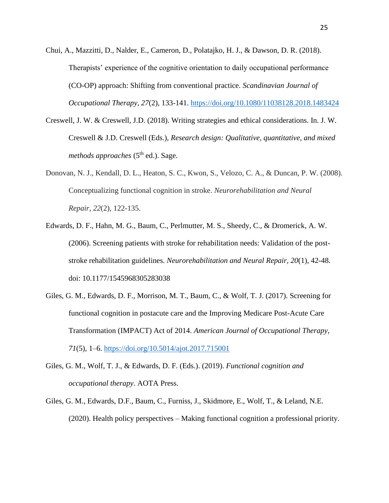Chui, A., Mazzitti, D., Nalder, E., Cameron, D., Polatajko, H. J., & Dawson, D. R. (2018). Therapists' experience of the cognitive orientation to daily occupational performance (CO-OP) approach: Shifting from conventional practice. *Scandinavian Journal of Occupational Therapy, 27*(2), 133-141.<https://doi.org/10.1080/11038128.2018.1483424>

- Creswell, J. W. & Creswell, J.D. (2018). Writing strategies and ethical considerations. In. J. W. Creswell & J.D. Creswell (Eds.), *Research design: Qualitative, quantitative, and mixed methods approaches* (5<sup>th</sup> ed.). Sage.
- Donovan, N. J., Kendall, D. L., Heaton, S. C., Kwon, S., Velozo, C. A., & Duncan, P. W. (2008). Conceptualizing functional cognition in stroke. *Neurorehabilitation and Neural Repair*, *22*(2), 122-135.
- Edwards, D. F., Hahn, M. G., Baum, C., Perlmutter, M. S., Sheedy, C., & Dromerick, A. W. (2006). Screening patients with stroke for rehabilitation needs: Validation of the poststroke rehabilitation guidelines. *Neurorehabilitation and Neural Repair, 20*(1), 42-48. doi: 10.1177/1545968305283038
- Giles, G. M., Edwards, D. F., Morrison, M. T., Baum, C., & Wolf, T. J. (2017). Screening for functional cognition in postacute care and the Improving Medicare Post-Acute Care Transformation (IMPACT) Act of 2014. *American Journal of Occupational Therapy, 71*(5), 1–6.<https://doi.org/10.5014/ajot.2017.715001>
- Giles, G. M., Wolf, T. J., & Edwards, D. F. (Eds.). (2019). *Functional cognition and occupational therapy*. AOTA Press.
- Giles, G. M., Edwards, D.F., Baum, C., Furniss, J., Skidmore, E., Wolf, T., & Leland, N.E. (2020). Health policy perspectives – Making functional cognition a professional priority.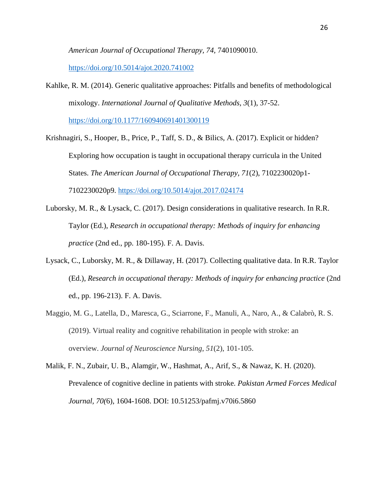*American Journal of Occupational Therapy, 74,* 7401090010.

<https://doi.org/10.5014/ajot.2020.741002>

Kahlke, R. M. (2014). Generic qualitative approaches: Pitfalls and benefits of methodological mixology. *International Journal of Qualitative Methods, 3*(1), 37-52.

<https://doi.org/10.1177/160940691401300119>

- Krishnagiri, S., Hooper, B., Price, P., Taff, S. D., & Bilics, A. (2017). Explicit or hidden? Exploring how occupation is taught in occupational therapy curricula in the United States. *The American Journal of Occupational Therapy, 71*(2), 7102230020p1- 7102230020p9.<https://doi.org/10.5014/ajot.2017.024174>
- Luborsky, M. R., & Lysack, C. (2017). Design considerations in qualitative research. In R.R. Taylor (Ed.), *Research in occupational therapy: Methods of inquiry for enhancing practice* (2nd ed., pp. 180-195). F. A. Davis.
- Lysack, C., Luborsky, M. R., & Dillaway, H. (2017). Collecting qualitative data. In R.R. Taylor (Ed.), *Research in occupational therapy: Methods of inquiry for enhancing practice* (2nd ed., pp. 196-213). F. A. Davis.
- Maggio, M. G., Latella, D., Maresca, G., Sciarrone, F., Manuli, A., Naro, A., & Calabrò, R. S. (2019). Virtual reality and cognitive rehabilitation in people with stroke: an overview. *Journal of Neuroscience Nursing*, *51*(2), 101-105.
- Malik, F. N., Zubair, U. B., Alamgir, W., Hashmat, A., Arif, S., & Nawaz, K. H. (2020). Prevalence of cognitive decline in patients with stroke. *Pakistan Armed Forces Medical Journal, 70(*6), 1604-1608. DOI: 10.51253/pafmj.v70i6.5860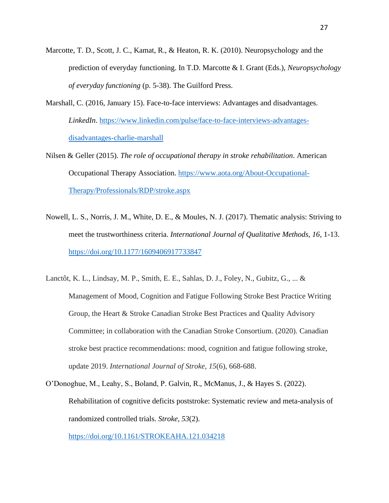- Marcotte, T. D., Scott, J. C., Kamat, R., & Heaton, R. K. (2010). Neuropsychology and the prediction of everyday functioning. In T.D. Marcotte & I. Grant (Eds.), *Neuropsychology of everyday functioning* (p. 5-38). The Guilford Press.
- Marshall, C. (2016, January 15). Face-to-face interviews: Advantages and disadvantages. *LinkedIn*. [https://www.linkedin.com/pulse/face-to-face-interviews-advantages](https://www.linkedin.com/pulse/face-to-face-interviews-advantages-disadvantages-charlie-marshall)[disadvantages-charlie-marshall](https://www.linkedin.com/pulse/face-to-face-interviews-advantages-disadvantages-charlie-marshall)
- Nilsen & Geller (2015). *The role of occupational therapy in stroke rehabilitation*. American Occupational Therapy Association. [https://www.aota.org/About-Occupational-](https://www.aota.org/About-Occupational-Therapy/Professionals/RDP/stroke.aspx)[Therapy/Professionals/RDP/stroke.aspx](https://www.aota.org/About-Occupational-Therapy/Professionals/RDP/stroke.aspx)
- Nowell, L. S., Norris, J. M., White, D. E., & Moules, N. J. (2017). Thematic analysis: Striving to meet the trustworthiness criteria. *International Journal of Qualitative Methods, 16*, 1-13. <https://doi.org/10.1177/1609406917733847>
- Lanctôt, K. L., Lindsay, M. P., Smith, E. E., Sahlas, D. J., Foley, N., Gubitz, G., ... & Management of Mood, Cognition and Fatigue Following Stroke Best Practice Writing Group, the Heart & Stroke Canadian Stroke Best Practices and Quality Advisory Committee; in collaboration with the Canadian Stroke Consortium. (2020). Canadian stroke best practice recommendations: mood, cognition and fatigue following stroke, update 2019. *International Journal of Stroke*, *15*(6), 668-688.
- O'Donoghue, M., Leahy, S., Boland, P. Galvin, R., McManus, J., & Hayes S. (2022). Rehabilitation of cognitive deficits poststroke: Systematic review and meta-analysis of randomized controlled trials. *Stroke, 53*(2).

<https://doi.org/10.1161/STROKEAHA.121.034218>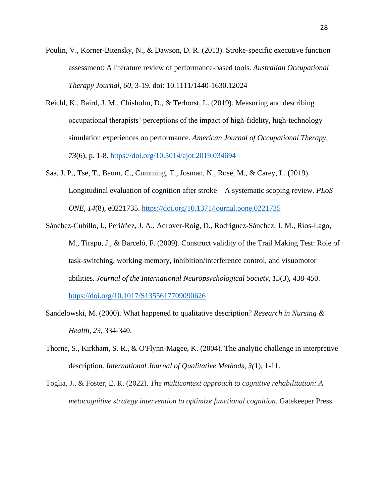- Poulin, V., Korner-Bitensky, N., & Dawson, D. R. (2013). Stroke-specific executive function assessment: A literature review of performance-based tools. *Australian Occupational Therapy Journal, 60*, 3-19. doi: 10.1111/1440-1630.12024
- Reichl, K., Baird, J. M., Chisholm, D., & Terhorst, L. (2019). Measuring and describing occupational therapists' perceptions of the impact of high-fidelity, high-technology simulation experiences on performance. *American Journal of Occupational Therapy, 73*(6), p. 1-8.<https://doi.org/10.5014/ajot.2019.034694>
- Saa, J. P., Tse, T., Baum, C., Cumming, T., Josman, N., Rose, M., & Carey, L. (2019). Longitudinal evaluation of cognition after stroke – A systematic scoping review. *PLoS ONE, 14*(8), e0221735.<https://doi.org/10.1371/journal.pone.0221735>
- Sánchez-Cubillo, I., Periáñez, J. A., Adrover-Roig, D., Rodríguez-Sánchez, J. M., Ríos-Lago, M., Tirapu, J., & Barceló, F. (2009). Construct validity of the Trail Making Test: Role of task-switching, working memory, inhibition/interference control, and visuomotor abilities. *Journal of the International Neuropsychological Society, 15*(3), 438-450. <https://doi.org/10.1017/S1355617709090626>
- Sandelowski, M. (2000). What happened to qualitative description? *Research in Nursing & Health, 23*, 334-340.
- Thorne, S., Kirkham, S. R., & O'Flynn-Magee, K. (2004). The analytic challenge in interpretive description. *International Journal of Qualitative Methods, 3(*1), 1-11.
- Toglia, J., & Foster, E. R. (2022). *The multicontext approach to cognitive rehabilitation: A metacognitive strategy intervention to optimize functional cognition*. Gatekeeper Press.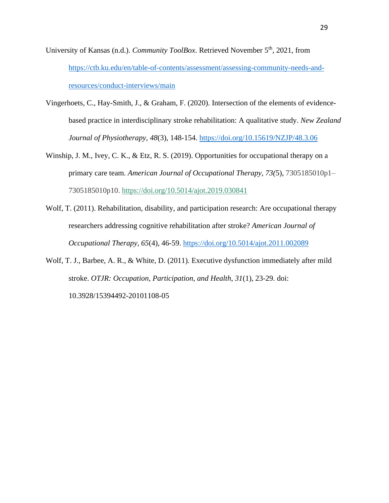University of Kansas (n.d.). *Community ToolBox*. Retrieved November 5<sup>th</sup>, 2021, from [https://ctb.ku.edu/en/table-of-contents/assessment/assessing-community-needs-and](https://ctb.ku.edu/en/table-of-contents/assessment/assessing-community-needs-and-resources/conduct-interviews/main)[resources/conduct-interviews/main](https://ctb.ku.edu/en/table-of-contents/assessment/assessing-community-needs-and-resources/conduct-interviews/main)

- Vingerhoets, C., Hay-Smith, J., & Graham, F. (2020). Intersection of the elements of evidencebased practice in interdisciplinary stroke rehabilitation: A qualitative study. *New Zealand Journal of Physiotherapy, 48*(3), 148-154.<https://doi.org/10.15619/NZJP/48.3.06>
- Winship, J. M., Ivey, C. K., & Etz, R. S. (2019). Opportunities for occupational therapy on a primary care team. *American Journal of Occupational Therapy, 73(*5), 7305185010p1– 7305185010p10.<https://doi.org/10.5014/ajot.2019.030841>
- Wolf, T. (2011). Rehabilitation, disability, and participation research: Are occupational therapy researchers addressing cognitive rehabilitation after stroke? *American Journal of Occupational Therapy, 65*(4), 46-59.<https://doi.org/10.5014/ajot.2011.002089>
- Wolf, T. J., Barbee, A. R., & White, D. (2011). Executive dysfunction immediately after mild stroke. *OTJR: Occupation, Participation, and Health, 31*(1), 23-29. doi: 10.3928/15394492-20101108-05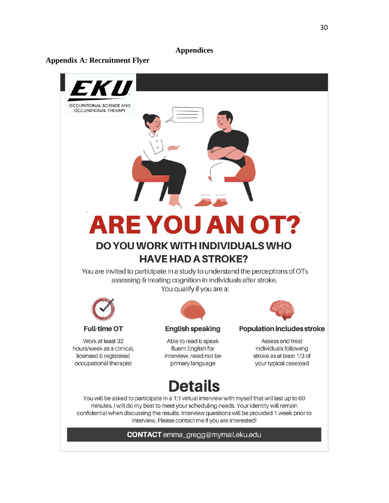# **Appendices**

# <span id="page-39-1"></span><span id="page-39-0"></span>**Appendix A: Recruitment Flyer**

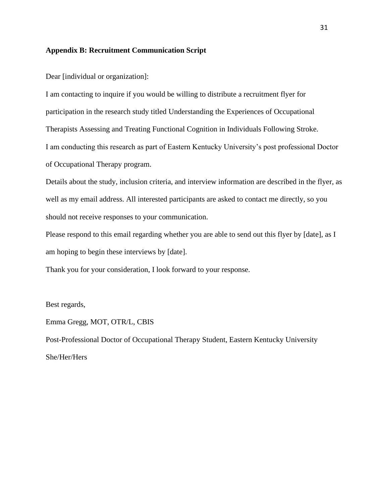# <span id="page-40-0"></span>**Appendix B: Recruitment Communication Script**

Dear [individual or organization]:

I am contacting to inquire if you would be willing to distribute a recruitment flyer for participation in the research study titled Understanding the Experiences of Occupational Therapists Assessing and Treating Functional Cognition in Individuals Following Stroke. I am conducting this research as part of Eastern Kentucky University's post professional Doctor of Occupational Therapy program.

Details about the study, inclusion criteria, and interview information are described in the flyer, as well as my email address. All interested participants are asked to contact me directly, so you should not receive responses to your communication.

Please respond to this email regarding whether you are able to send out this flyer by [date], as I am hoping to begin these interviews by [date].

Thank you for your consideration, I look forward to your response.

Best regards,

Emma Gregg, MOT, OTR/L, CBIS

Post-Professional Doctor of Occupational Therapy Student, Eastern Kentucky University She/Her/Hers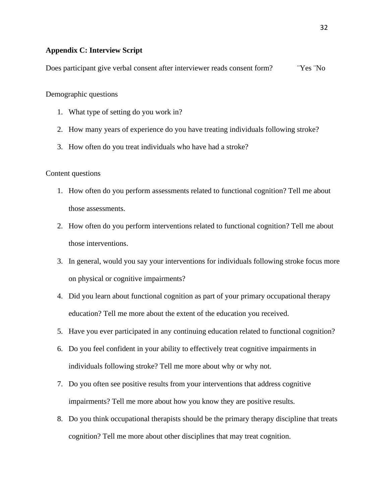# <span id="page-41-0"></span>**Appendix C: Interview Script**

Does participant give verbal consent after interviewer reads consent form? ¨Yes ¨No

Demographic questions

- 1. What type of setting do you work in?
- 2. How many years of experience do you have treating individuals following stroke?
- 3. How often do you treat individuals who have had a stroke?

# Content questions

- 1. How often do you perform assessments related to functional cognition? Tell me about those assessments.
- 2. How often do you perform interventions related to functional cognition? Tell me about those interventions.
- 3. In general, would you say your interventions for individuals following stroke focus more on physical or cognitive impairments?
- 4. Did you learn about functional cognition as part of your primary occupational therapy education? Tell me more about the extent of the education you received.
- 5. Have you ever participated in any continuing education related to functional cognition?
- 6. Do you feel confident in your ability to effectively treat cognitive impairments in individuals following stroke? Tell me more about why or why not.
- 7. Do you often see positive results from your interventions that address cognitive impairments? Tell me more about how you know they are positive results.
- 8. Do you think occupational therapists should be the primary therapy discipline that treats cognition? Tell me more about other disciplines that may treat cognition.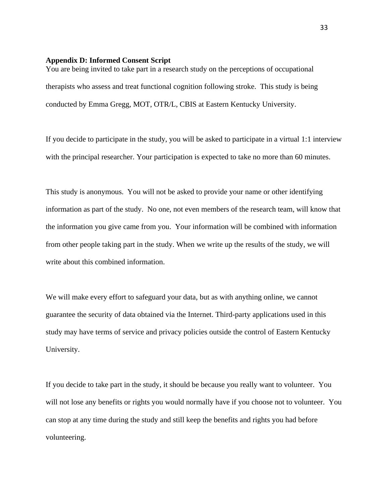#### <span id="page-42-0"></span>**Appendix D: Informed Consent Script**

You are being invited to take part in a research study on the perceptions of occupational therapists who assess and treat functional cognition following stroke. This study is being conducted by Emma Gregg, MOT, OTR/L, CBIS at Eastern Kentucky University.

If you decide to participate in the study, you will be asked to participate in a virtual 1:1 interview with the principal researcher. Your participation is expected to take no more than 60 minutes.

This study is anonymous. You will not be asked to provide your name or other identifying information as part of the study. No one, not even members of the research team, will know that the information you give came from you. Your information will be combined with information from other people taking part in the study. When we write up the results of the study, we will write about this combined information.

We will make every effort to safeguard your data, but as with anything online, we cannot guarantee the security of data obtained via the Internet. Third-party applications used in this study may have terms of service and privacy policies outside the control of Eastern Kentucky University.

If you decide to take part in the study, it should be because you really want to volunteer. You will not lose any benefits or rights you would normally have if you choose not to volunteer. You can stop at any time during the study and still keep the benefits and rights you had before volunteering.